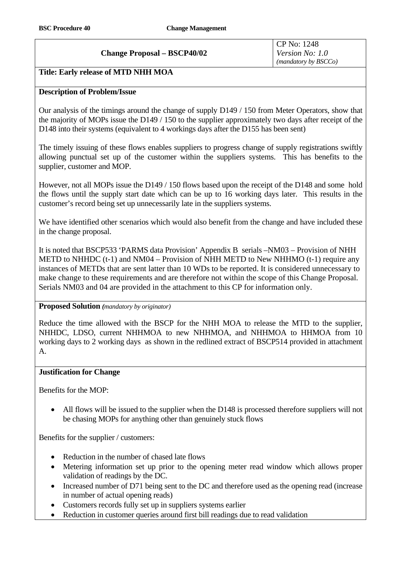### **Change Proposal – BSCP40/02**

# **Title: Early release of MTD NHH MOA**

### **Description of Problem/Issue**

Our analysis of the timings around the change of supply D149 / 150 from Meter Operators, show that the majority of MOPs issue the D149 / 150 to the supplier approximately two days after receipt of the D148 into their systems (equivalent to 4 workings days after the D155 has been sent)

The timely issuing of these flows enables suppliers to progress change of supply registrations swiftly allowing punctual set up of the customer within the suppliers systems. This has benefits to the supplier, customer and MOP.

However, not all MOPs issue the D149 / 150 flows based upon the receipt of the D148 and some hold the flows until the supply start date which can be up to 16 working days later. This results in the customer's record being set up unnecessarily late in the suppliers systems.

We have identified other scenarios which would also benefit from the change and have included these in the change proposal.

It is noted that BSCP533 'PARMS data Provision' Appendix B serials –NM03 – Provision of NHH METD to NHHDC  $(t-1)$  and NM04 – Provision of NHH METD to New NHHMO  $(t-1)$  require any instances of METDs that are sent latter than 10 WDs to be reported. It is considered unnecessary to make change to these requirements and are therefore not within the scope of this Change Proposal. Serials NM03 and 04 are provided in the attachment to this CP for information only.

#### **Proposed Solution** *(mandatory by originator)*

Reduce the time allowed with the BSCP for the NHH MOA to release the MTD to the supplier, NHHDC, LDSO, current NHHMOA to new NHHMOA, and NHHMOA to HHMOA from 10 working days to 2 working days as shown in the redlined extract of BSCP514 provided in attachment A.

#### **Justification for Change**

Benefits for the MOP:

• All flows will be issued to the supplier when the D148 is processed therefore suppliers will not be chasing MOPs for anything other than genuinely stuck flows

Benefits for the supplier / customers:

- Reduction in the number of chased late flows
- Metering information set up prior to the opening meter read window which allows proper validation of readings by the DC.
- Increased number of D71 being sent to the DC and therefore used as the opening read (increase in number of actual opening reads)
- Customers records fully set up in suppliers systems earlier
- Reduction in customer queries around first bill readings due to read validation